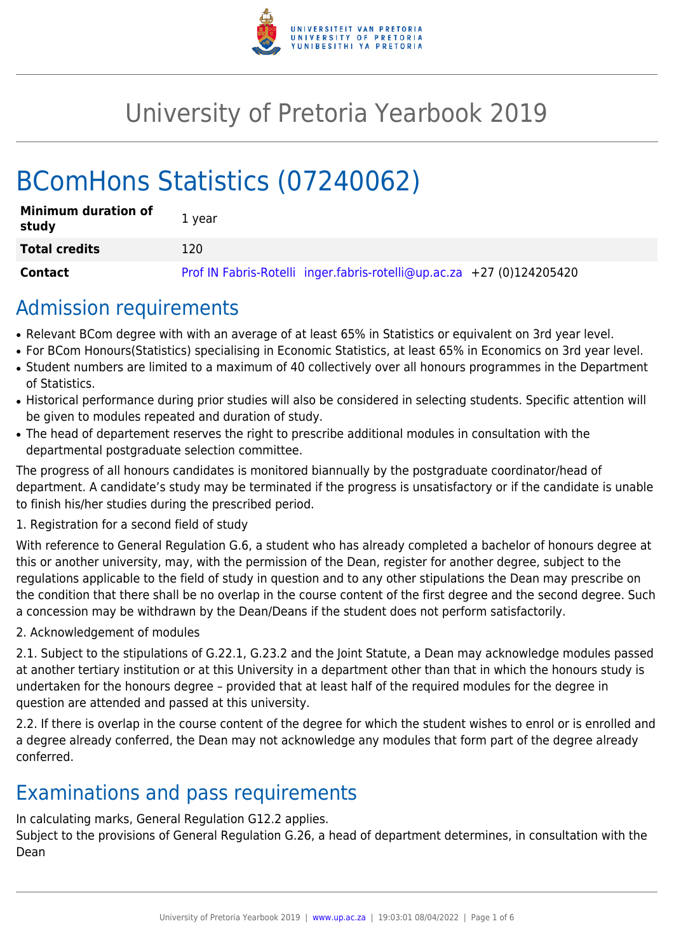

# University of Pretoria Yearbook 2019

# BComHons Statistics (07240062)

| <b>Minimum duration of</b><br>study | 1 year                                                                |
|-------------------------------------|-----------------------------------------------------------------------|
| <b>Total credits</b>                | 120                                                                   |
| Contact                             | Prof IN Fabris-Rotelli inger.fabris-rotelli@up.ac.za +27 (0)124205420 |

### Admission requirements

- Relevant BCom degree with with an average of at least 65% in Statistics or equivalent on 3rd year level.
- For BCom Honours(Statistics) specialising in Economic Statistics, at least 65% in Economics on 3rd year level.
- Student numbers are limited to a maximum of 40 collectively over all honours programmes in the Department of Statistics.
- Historical performance during prior studies will also be considered in selecting students. Specific attention will be given to modules repeated and duration of study.
- The head of departement reserves the right to prescribe additional modules in consultation with the departmental postgraduate selection committee.

The progress of all honours candidates is monitored biannually by the postgraduate coordinator/head of department. A candidate's study may be terminated if the progress is unsatisfactory or if the candidate is unable to finish his/her studies during the prescribed period.

#### 1. Registration for a second field of study

With reference to General Regulation G.6, a student who has already completed a bachelor of honours degree at this or another university, may, with the permission of the Dean, register for another degree, subject to the regulations applicable to the field of study in question and to any other stipulations the Dean may prescribe on the condition that there shall be no overlap in the course content of the first degree and the second degree. Such a concession may be withdrawn by the Dean/Deans if the student does not perform satisfactorily.

2. Acknowledgement of modules

2.1. Subject to the stipulations of G.22.1, G.23.2 and the Joint Statute, a Dean may acknowledge modules passed at another tertiary institution or at this University in a department other than that in which the honours study is undertaken for the honours degree – provided that at least half of the required modules for the degree in question are attended and passed at this university.

2.2. If there is overlap in the course content of the degree for which the student wishes to enrol or is enrolled and a degree already conferred, the Dean may not acknowledge any modules that form part of the degree already conferred.

## Examinations and pass requirements

In calculating marks, General Regulation G12.2 applies.

Subject to the provisions of General Regulation G.26, a head of department determines, in consultation with the Dean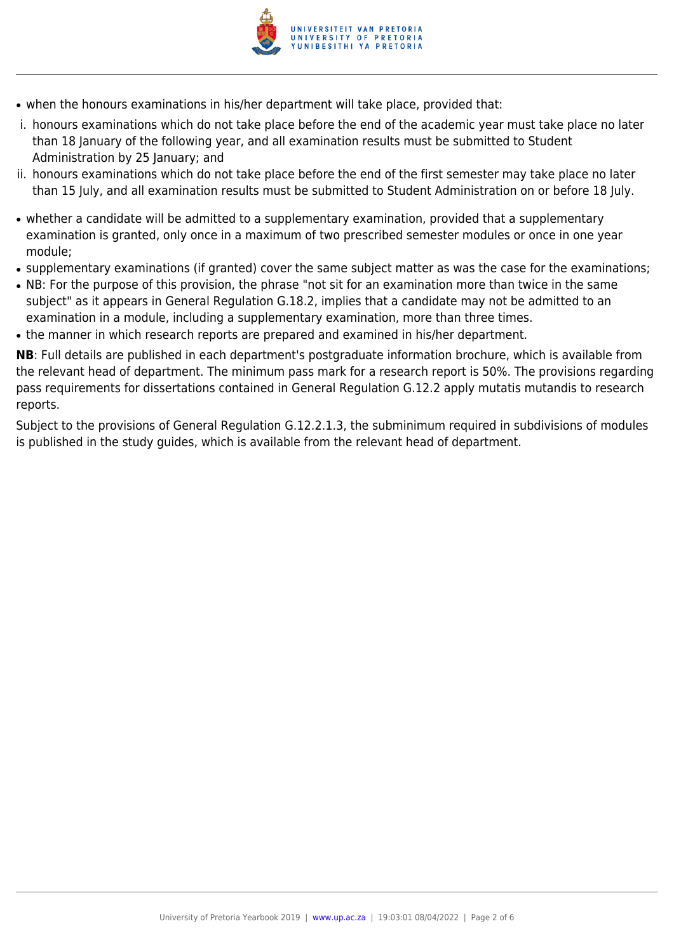

- when the honours examinations in his/her department will take place, provided that:
- i. honours examinations which do not take place before the end of the academic year must take place no later than 18 January of the following year, and all examination results must be submitted to Student Administration by 25 January; and
- ii. honours examinations which do not take place before the end of the first semester may take place no later than 15 July, and all examination results must be submitted to Student Administration on or before 18 July.
- whether a candidate will be admitted to a supplementary examination, provided that a supplementary examination is granted, only once in a maximum of two prescribed semester modules or once in one year module;
- supplementary examinations (if granted) cover the same subject matter as was the case for the examinations;
- NB: For the purpose of this provision, the phrase "not sit for an examination more than twice in the same subject" as it appears in General Regulation G.18.2, implies that a candidate may not be admitted to an examination in a module, including a supplementary examination, more than three times.
- the manner in which research reports are prepared and examined in his/her department.

**NB**: Full details are published in each department's postgraduate information brochure, which is available from the relevant head of department. The minimum pass mark for a research report is 50%. The provisions regarding pass requirements for dissertations contained in General Regulation G.12.2 apply mutatis mutandis to research reports.

Subject to the provisions of General Regulation G.12.2.1.3, the subminimum required in subdivisions of modules is published in the study guides, which is available from the relevant head of department.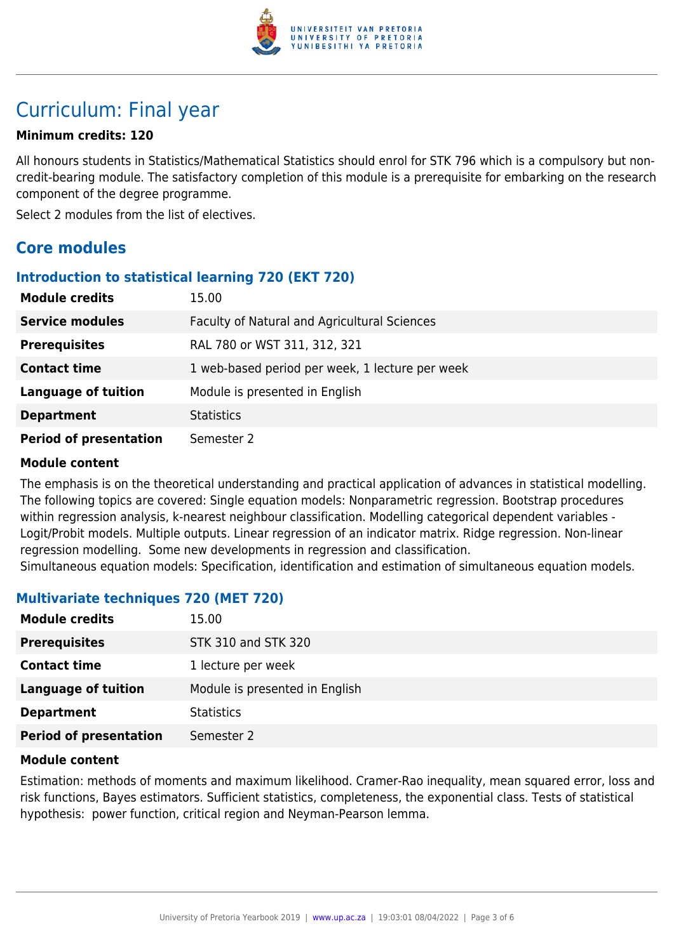

## Curriculum: Final year

#### **Minimum credits: 120**

All honours students in Statistics/Mathematical Statistics should enrol for STK 796 which is a compulsory but noncredit-bearing module. The satisfactory completion of this module is a prerequisite for embarking on the research component of the degree programme.

Select 2 modules from the list of electives.

### **Core modules**

#### **Introduction to statistical learning 720 (EKT 720)**

| <b>Module credits</b>         | 15.00                                           |
|-------------------------------|-------------------------------------------------|
| <b>Service modules</b>        | Faculty of Natural and Agricultural Sciences    |
| <b>Prerequisites</b>          | RAL 780 or WST 311, 312, 321                    |
| <b>Contact time</b>           | 1 web-based period per week, 1 lecture per week |
| <b>Language of tuition</b>    | Module is presented in English                  |
| <b>Department</b>             | <b>Statistics</b>                               |
| <b>Period of presentation</b> | Semester 2                                      |

#### **Module content**

The emphasis is on the theoretical understanding and practical application of advances in statistical modelling. The following topics are covered: Single equation models: Nonparametric regression. Bootstrap procedures within regression analysis, k-nearest neighbour classification. Modelling categorical dependent variables - Logit/Probit models. Multiple outputs. Linear regression of an indicator matrix. Ridge regression. Non-linear regression modelling. Some new developments in regression and classification.

Simultaneous equation models: Specification, identification and estimation of simultaneous equation models.

#### **Multivariate techniques 720 (MET 720)**

| <b>Module credits</b>         | 15.00                          |
|-------------------------------|--------------------------------|
| <b>Prerequisites</b>          | STK 310 and STK 320            |
| <b>Contact time</b>           | 1 lecture per week             |
| <b>Language of tuition</b>    | Module is presented in English |
| <b>Department</b>             | <b>Statistics</b>              |
| <b>Period of presentation</b> | Semester 2                     |

#### **Module content**

Estimation: methods of moments and maximum likelihood. Cramer-Rao inequality, mean squared error, loss and risk functions, Bayes estimators. Sufficient statistics, completeness, the exponential class. Tests of statistical hypothesis: power function, critical region and Neyman-Pearson lemma.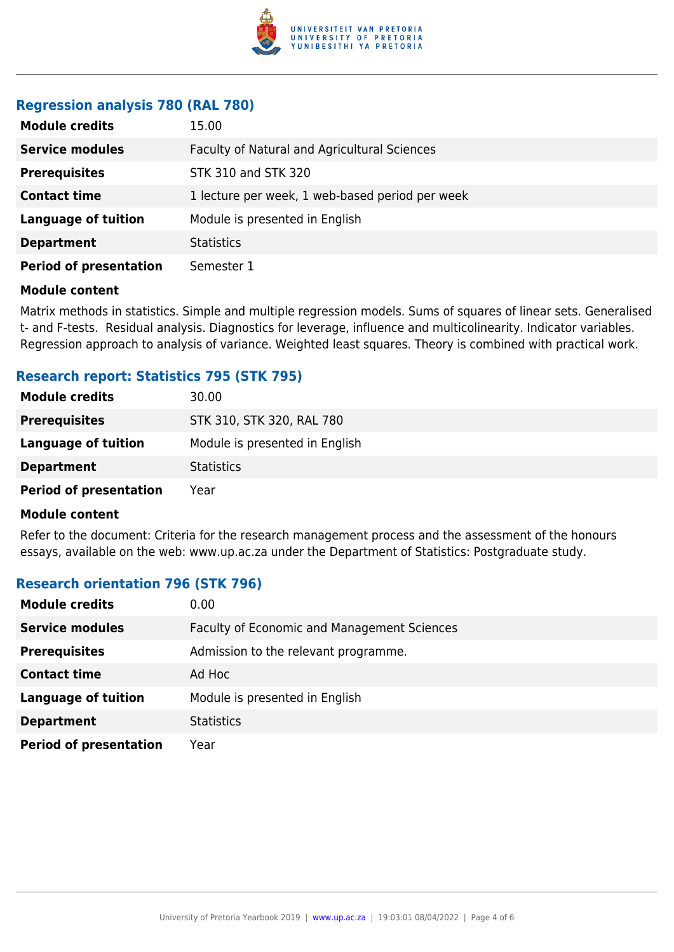

#### **Regression analysis 780 (RAL 780)**

| <b>Module credits</b>         | 15.00                                           |
|-------------------------------|-------------------------------------------------|
| <b>Service modules</b>        | Faculty of Natural and Agricultural Sciences    |
| <b>Prerequisites</b>          | STK 310 and STK 320                             |
| <b>Contact time</b>           | 1 lecture per week, 1 web-based period per week |
| <b>Language of tuition</b>    | Module is presented in English                  |
| <b>Department</b>             | <b>Statistics</b>                               |
| <b>Period of presentation</b> | Semester 1                                      |

#### **Module content**

Matrix methods in statistics. Simple and multiple regression models. Sums of squares of linear sets. Generalised t- and F-tests. Residual analysis. Diagnostics for leverage, influence and multicolinearity. Indicator variables. Regression approach to analysis of variance. Weighted least squares. Theory is combined with practical work.

#### **Research report: Statistics 795 (STK 795)**

| <b>Module credits</b>         | 30.00                          |
|-------------------------------|--------------------------------|
| <b>Prerequisites</b>          | STK 310, STK 320, RAL 780      |
| Language of tuition           | Module is presented in English |
| <b>Department</b>             | <b>Statistics</b>              |
| <b>Period of presentation</b> | Year                           |

#### **Module content**

Refer to the document: Criteria for the research management process and the assessment of the honours essays, available on the web: www.up.ac.za under the Department of Statistics: Postgraduate study.

#### **Research orientation 796 (STK 796)**

| <b>Module credits</b>         | 0.00                                        |
|-------------------------------|---------------------------------------------|
| <b>Service modules</b>        | Faculty of Economic and Management Sciences |
| <b>Prerequisites</b>          | Admission to the relevant programme.        |
| <b>Contact time</b>           | Ad Hoc                                      |
| <b>Language of tuition</b>    | Module is presented in English              |
| <b>Department</b>             | <b>Statistics</b>                           |
| <b>Period of presentation</b> | Year                                        |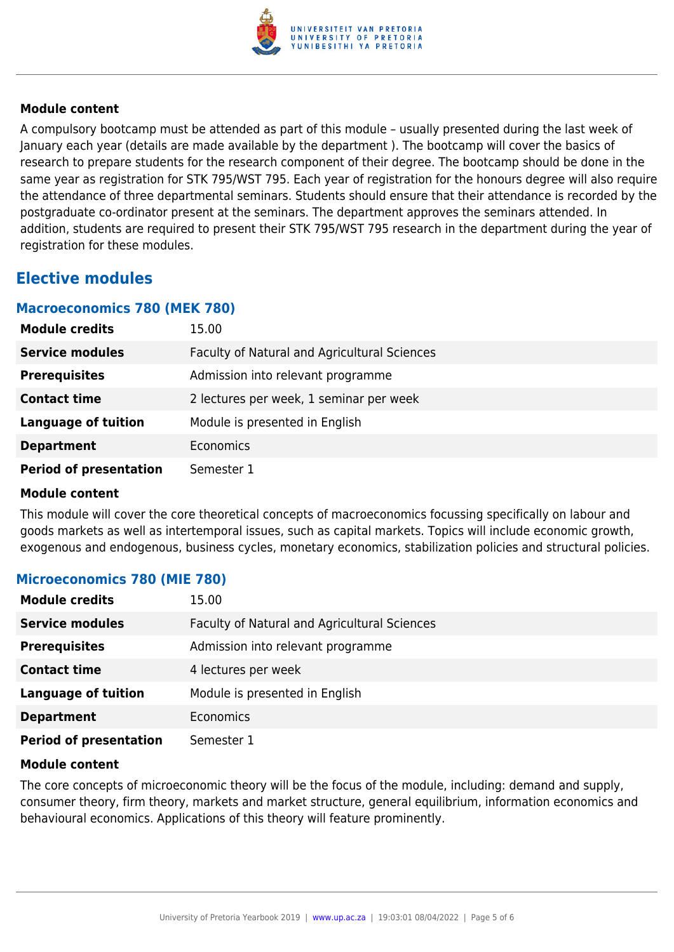

#### **Module content**

A compulsory bootcamp must be attended as part of this module – usually presented during the last week of January each year (details are made available by the department ). The bootcamp will cover the basics of research to prepare students for the research component of their degree. The bootcamp should be done in the same year as registration for STK 795/WST 795. Each year of registration for the honours degree will also require the attendance of three departmental seminars. Students should ensure that their attendance is recorded by the postgraduate co-ordinator present at the seminars. The department approves the seminars attended. In addition, students are required to present their STK 795/WST 795 research in the department during the year of registration for these modules.

### **Elective modules**

#### **Macroeconomics 780 (MEK 780)**

| <b>Module credits</b>         | 15.00                                        |
|-------------------------------|----------------------------------------------|
| <b>Service modules</b>        | Faculty of Natural and Agricultural Sciences |
| <b>Prerequisites</b>          | Admission into relevant programme            |
| <b>Contact time</b>           | 2 lectures per week, 1 seminar per week      |
| <b>Language of tuition</b>    | Module is presented in English               |
| <b>Department</b>             | Economics                                    |
| <b>Period of presentation</b> | Semester 1                                   |

#### **Module content**

This module will cover the core theoretical concepts of macroeconomics focussing specifically on labour and goods markets as well as intertemporal issues, such as capital markets. Topics will include economic growth, exogenous and endogenous, business cycles, monetary economics, stabilization policies and structural policies.

#### **Microeconomics 780 (MIE 780)**

| <b>Module credits</b>         | 15.00                                        |
|-------------------------------|----------------------------------------------|
| <b>Service modules</b>        | Faculty of Natural and Agricultural Sciences |
| <b>Prerequisites</b>          | Admission into relevant programme            |
| <b>Contact time</b>           | 4 lectures per week                          |
| <b>Language of tuition</b>    | Module is presented in English               |
| <b>Department</b>             | Economics                                    |
| <b>Period of presentation</b> | Semester 1                                   |

#### **Module content**

The core concepts of microeconomic theory will be the focus of the module, including: demand and supply, consumer theory, firm theory, markets and market structure, general equilibrium, information economics and behavioural economics. Applications of this theory will feature prominently.